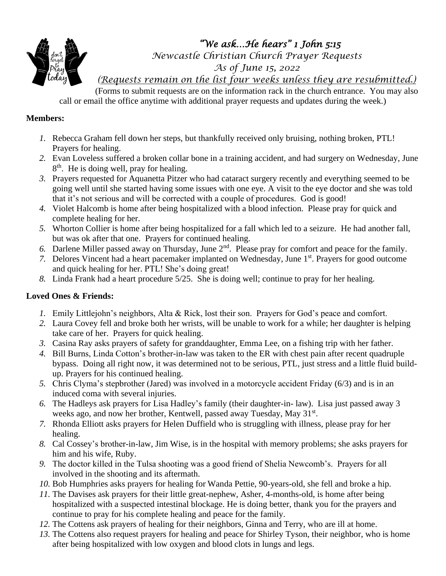

*"We ask…He hears" 1 John 5:15* 

*Newcastle Christian Church Prayer Requests*

*As of June 15, 2022*

*(Requests remain on the list four weeks unless they are resubmitted.)*

(Forms to submit requests are on the information rack in the church entrance. You may also call or email the office anytime with additional prayer requests and updates during the week.)

## **Members:**

- *1.* Rebecca Graham fell down her steps, but thankfully received only bruising, nothing broken, PTL! Prayers for healing.
- *2.* Evan Loveless suffered a broken collar bone in a training accident, and had surgery on Wednesday, June 8<sup>th</sup>. He is doing well, pray for healing.
- *3.* Prayers requested for Aquanetta Pitzer who had cataract surgery recently and everything seemed to be going well until she started having some issues with one eye. A visit to the eye doctor and she was told that it's not serious and will be corrected with a couple of procedures. God is good!
- *4.* Violet Halcomb is home after being hospitalized with a blood infection. Please pray for quick and complete healing for her.
- *5.* Whorton Collier is home after being hospitalized for a fall which led to a seizure. He had another fall, but was ok after that one. Prayers for continued healing.
- *6.* Darlene Miller passed away on Thursday, June 2nd. Please pray for comfort and peace for the family.
- 7. Delores Vincent had a heart pacemaker implanted on Wednesday, June 1<sup>st</sup>. Prayers for good outcome and quick healing for her. PTL! She's doing great!
- *8.* Linda Frank had a heart procedure 5/25. She is doing well; continue to pray for her healing.

## **Loved Ones & Friends:**

- *1.* Emily Littlejohn's neighbors, Alta & Rick, lost their son. Prayers for God's peace and comfort.
- *2.* Laura Covey fell and broke both her wrists, will be unable to work for a while; her daughter is helping take care of her. Prayers for quick healing.
- *3.* Casina Ray asks prayers of safety for granddaughter, Emma Lee, on a fishing trip with her father.
- *4.* Bill Burns, Linda Cotton's brother-in-law was taken to the ER with chest pain after recent quadruple bypass. Doing all right now, it was determined not to be serious, PTL, just stress and a little fluid buildup. Prayers for his continued healing.
- *5.* Chris Clyma's stepbrother (Jared) was involved in a motorcycle accident Friday (6/3) and is in an induced coma with several injuries.
- *6.* The Hadleys ask prayers for Lisa Hadley's family (their daughter-in- law). Lisa just passed away 3 weeks ago, and now her brother, Kentwell, passed away Tuesday, May 31<sup>st</sup>.
- *7.* Rhonda Elliott asks prayers for Helen Duffield who is struggling with illness, please pray for her healing.
- *8.* Cal Cossey's brother-in-law, Jim Wise, is in the hospital with memory problems; she asks prayers for him and his wife, Ruby.
- *9.* The doctor killed in the Tulsa shooting was a good friend of Shelia Newcomb's. Prayers for all involved in the shooting and its aftermath.
- *10.* Bob Humphries asks prayers for healing for Wanda Pettie, 90-years-old, she fell and broke a hip.
- *11.* The Davises ask prayers for their little great-nephew, Asher, 4-months-old, is home after being hospitalized with a suspected intestinal blockage. He is doing better, thank you for the prayers and continue to pray for his complete healing and peace for the family.
- *12.* The Cottens ask prayers of healing for their neighbors, Ginna and Terry, who are ill at home.
- *13.* The Cottens also request prayers for healing and peace for Shirley Tyson, their neighbor, who is home after being hospitalized with low oxygen and blood clots in lungs and legs.